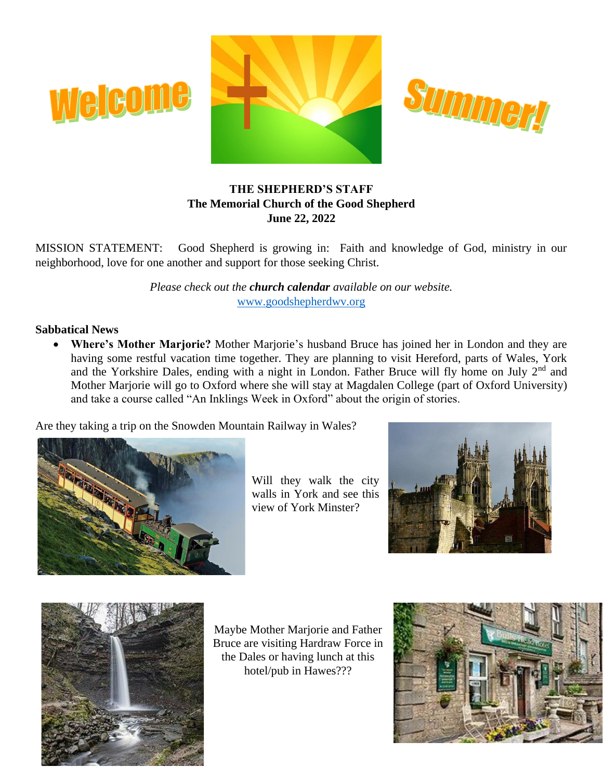



# **THE SHEPHERD'S STAFF The Memorial Church of the Good Shepherd June 22, 2022**

MISSION STATEMENT: Good Shepherd is growing in: Faith and knowledge of God, ministry in our neighborhood, love for one another and support for those seeking Christ.

> *Please check out the church calendar available on our website.* [www.goodshepherdwv.org](http://www.goodshepherdwv.org/)

### **Sabbatical News**

• **Where's Mother Marjorie?** Mother Marjorie's husband Bruce has joined her in London and they are having some restful vacation time together. They are planning to visit Hereford, parts of Wales, York and the Yorkshire Dales, ending with a night in London. Father Bruce will fly home on July  $2<sup>nd</sup>$  and Mother Marjorie will go to Oxford where she will stay at Magdalen College (part of Oxford University) and take a course called "An Inklings Week in Oxford" about the origin of stories.

Are they taking a trip on the Snowden Mountain Railway in Wales?



**releome** 

Will they walk the city walls in York and see this view of York Minster?





Maybe Mother Marjorie and Father Bruce are visiting Hardraw Force in the Dales or having lunch at this hotel/pub in Hawes???

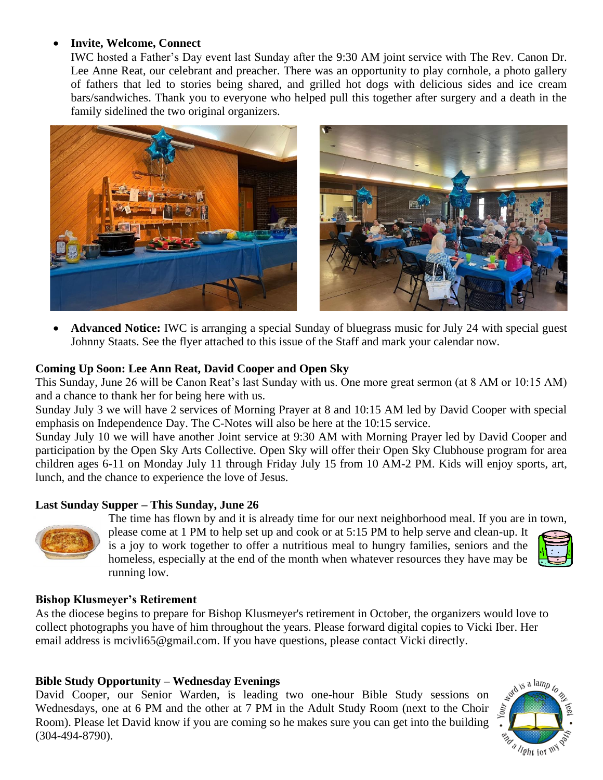# • **Invite, Welcome, Connect**

IWC hosted a Father's Day event last Sunday after the 9:30 AM joint service with The Rev. Canon Dr. Lee Anne Reat, our celebrant and preacher. There was an opportunity to play cornhole, a photo gallery of fathers that led to stories being shared, and grilled hot dogs with delicious sides and ice cream bars/sandwiches. Thank you to everyone who helped pull this together after surgery and a death in the family sidelined the two original organizers.



• **Advanced Notice:** IWC is arranging a special Sunday of bluegrass music for July 24 with special guest Johnny Staats. See the flyer attached to this issue of the Staff and mark your calendar now.

## **Coming Up Soon: Lee Ann Reat, David Cooper and Open Sky**

This Sunday, June 26 will be Canon Reat's last Sunday with us. One more great sermon (at 8 AM or 10:15 AM) and a chance to thank her for being here with us.

Sunday July 3 we will have 2 services of Morning Prayer at 8 and 10:15 AM led by David Cooper with special emphasis on Independence Day. The C-Notes will also be here at the 10:15 service.

Sunday July 10 we will have another Joint service at 9:30 AM with Morning Prayer led by David Cooper and participation by the Open Sky Arts Collective. Open Sky will offer their Open Sky Clubhouse program for area children ages 6-11 on Monday July 11 through Friday July 15 from 10 AM-2 PM. Kids will enjoy sports, art, lunch, and the chance to experience the love of Jesus.

### **Last Sunday Supper – This Sunday, June 26**

![](_page_1_Picture_9.jpeg)

The time has flown by and it is already time for our next neighborhood meal. If you are in town, please come at 1 PM to help set up and cook or at 5:15 PM to help serve and clean-up. It is a joy to work together to offer a nutritious meal to hungry families, seniors and the homeless, especially at the end of the month when whatever resources they have may be running low.

![](_page_1_Picture_11.jpeg)

### **Bishop Klusmeyer's Retirement**

As the diocese begins to prepare for Bishop Klusmeyer's retirement in October, the organizers would love to collect photographs you have of him throughout the years. Please forward digital copies to Vicki Iber. Her email address is mcivli65@gmail.com. If you have questions, please contact Vicki directly.

### **Bible Study Opportunity – Wednesday Evenings**

David Cooper, our Senior Warden, is leading two one-hour Bible Study sessions on Wednesdays, one at 6 PM and the other at 7 PM in the Adult Study Room (next to the Choir Room). Please let David know if you are coming so he makes sure you can get into the building (304-494-8790).

![](_page_1_Picture_16.jpeg)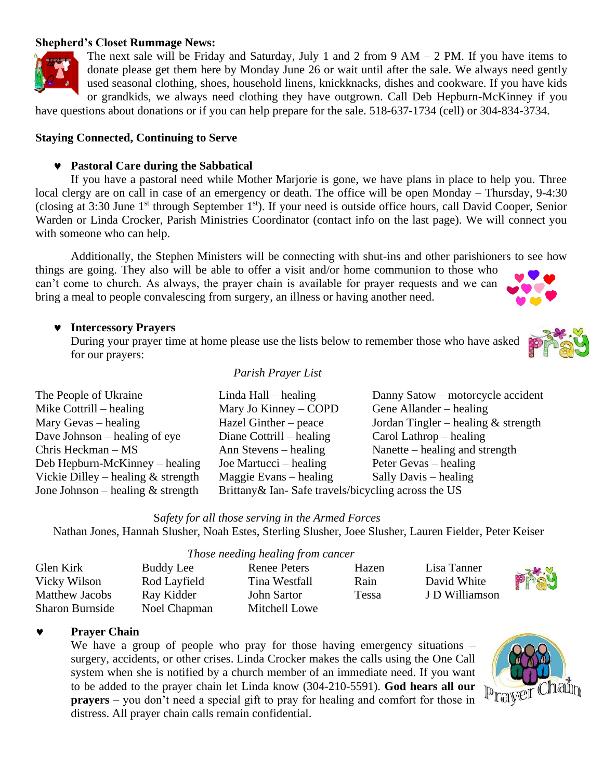### **Shepherd's Closet Rummage News:**

![](_page_2_Picture_1.jpeg)

The next sale will be Friday and Saturday, July 1 and 2 from 9  $AM - 2 PM$ . If you have items to donate please get them here by Monday June 26 or wait until after the sale. We always need gently used seasonal clothing, shoes, household linens, knickknacks, dishes and cookware. If you have kids or grandkids, we always need clothing they have outgrown. Call Deb Hepburn-McKinney if you

have questions about donations or if you can help prepare for the sale. 518-637-1734 (cell) or 304-834-3734.

#### **Staying Connected, Continuing to Serve**

### **Pastoral Care during the Sabbatical**

If you have a pastoral need while Mother Marjorie is gone, we have plans in place to help you. Three local clergy are on call in case of an emergency or death. The office will be open Monday – Thursday, 9-4:30 (closing at 3:30 June 1st through September 1st). If your need is outside office hours, call David Cooper, Senior Warden or Linda Crocker, Parish Ministries Coordinator (contact info on the last page). We will connect you with someone who can help.

Additionally, the Stephen Ministers will be connecting with shut-ins and other parishioners to see how things are going. They also will be able to offer a visit and/or home communion to those who can't come to church. As always, the prayer chain is available for prayer requests and we can bring a meal to people convalescing from surgery, an illness or having another need.

#### **Intercessory Prayers**

During your prayer time at home please use the lists below to remember those who have asked for our prayers:

#### *Parish Prayer List*

| The People of Ukraine                | Linda Hall $-$ healing                              | Danny Satow – motorcycle accident     |
|--------------------------------------|-----------------------------------------------------|---------------------------------------|
| Mike Cottrill $-$ healing            | Mary Jo Kinney – COPD                               | Gene Allander – healing               |
| Mary Gevas $-$ healing               | Hazel Ginther – peace                               | Jordan Tingler – healing $&$ strength |
| Dave Johnson $-$ healing of eye      | Diane Cottrill $-$ healing                          | Carol Lathrop $-$ healing             |
| Chris Heckman $- MS$                 | Ann Stevens – healing                               | Nanette – healing and strength        |
| Deb Hepburn-McKinney – healing       | Joe Martucci $-$ healing                            | Peter Gevas – healing                 |
| Vickie Dilley – healing $&$ strength | $M$ aggie Evans – healing                           | Sally Davis – healing                 |
| Jone Johnson – healing $&$ strength  | Brittany & Ian-Safe travels/bicycling across the US |                                       |

S*afety for all those serving in the Armed Forces*

*Those needing healing from cancer*

Nathan Jones, Hannah Slusher, Noah Estes, Sterling Slusher, Joee Slusher, Lauren Fielder, Peter Keiser

|                        |              | Those needing healing from cancer |       |                |     |
|------------------------|--------------|-----------------------------------|-------|----------------|-----|
| Glen Kirk              | Buddy Lee    | Renee Peters                      | Hazen | Lisa Tanner    |     |
| Vicky Wilson           | Rod Layfield | Tina Westfall                     | Rain  | David White    | PT* |
| <b>Matthew Jacobs</b>  | Ray Kidder   | John Sartor                       | Tessa | J D Williamson |     |
| <b>Sharon Burnside</b> | Noel Chapman | Mitchell Lowe                     |       |                |     |

#### **Prayer Chain**

We have a group of people who pray for those having emergency situations – surgery, accidents, or other crises. Linda Crocker makes the calls using the One Call system when she is notified by a church member of an immediate need. If you want to be added to the prayer chain let Linda know (304-210-5591). **God hears all our prayers** – you don't need a special gift to pray for healing and comfort for those in distress. All prayer chain calls remain confidential.

![](_page_2_Picture_17.jpeg)

![](_page_2_Picture_18.jpeg)